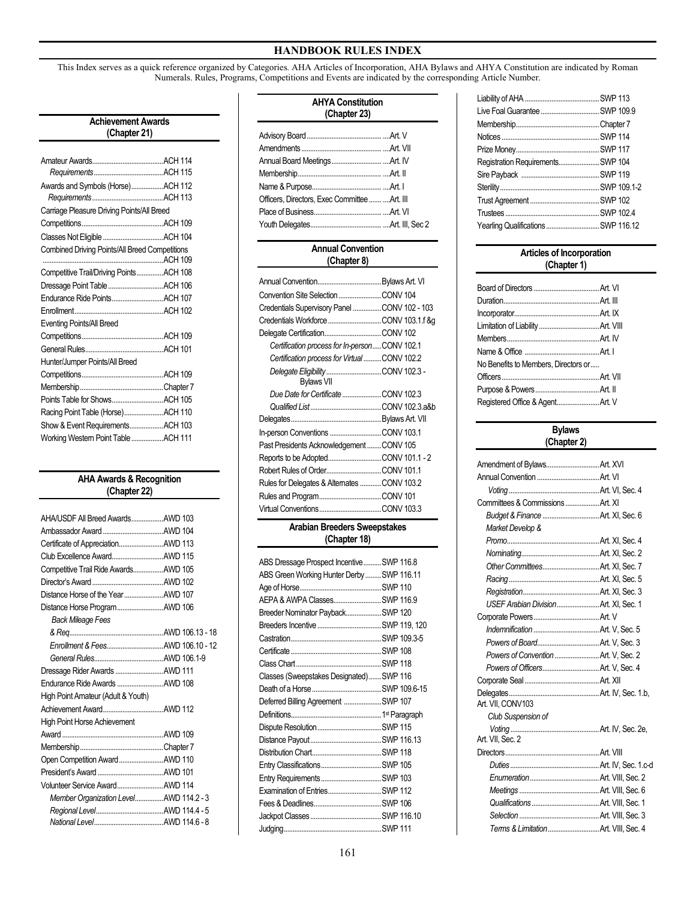This Index serves as a quick reference organized by Categories. AHA Articles of Incorporation, AHA Bylaws and AHYA Constitution are indicated by Roman Numerals. Rules, Programs, Competitions and Events are indicated by the corresponding Article Number.

| <b>Achievement Awards</b><br>(Chapter 21)      |  |  |
|------------------------------------------------|--|--|
|                                                |  |  |
|                                                |  |  |
|                                                |  |  |
| Awards and Symbols (Horse)ACH 112              |  |  |
|                                                |  |  |
| Carriage Pleasure Driving Points/All Breed     |  |  |
|                                                |  |  |
|                                                |  |  |
| Combined Driving Points/All Breed Competitions |  |  |
|                                                |  |  |
| Competitive Trail/Driving PointsACH 108        |  |  |
| Dressage Point Table ACH 106                   |  |  |
|                                                |  |  |
|                                                |  |  |
| <b>Eventing Points/All Breed</b>               |  |  |
|                                                |  |  |
|                                                |  |  |
| Hunter/Jumper Points/All Breed                 |  |  |
|                                                |  |  |
|                                                |  |  |
|                                                |  |  |
| Racing Point Table (Horse)ACH 110              |  |  |
| Show & Event RequirementsACH 103               |  |  |
| Working Westem Point TableACH 111              |  |  |

## **AHA Awards & Recognition (Chapter 22)**

| AHA/USDF All Breed AwardsAWD 103       |  |
|----------------------------------------|--|
|                                        |  |
| Certificate of AppreciationAWD 113     |  |
|                                        |  |
| Competitive Trail Ride AwardsAWD 105   |  |
|                                        |  |
| Distance Horse of the YearAWD 107      |  |
| Distance Horse ProgramAWD 106          |  |
| <b>Back Mileage Fees</b>               |  |
|                                        |  |
| Enrollment & FeesAWD 106.10 - 12       |  |
|                                        |  |
| Dressage Rider Awards AWD 111          |  |
| Endurance Ride Awards  AWD 108         |  |
| High Point Amateur (Adult & Youth)     |  |
|                                        |  |
| High Point Horse Achievement           |  |
|                                        |  |
|                                        |  |
| Open Competition AwardAWD 110          |  |
|                                        |  |
| Volunteer Service AwardAWD 114         |  |
| Member Organization LevelAWD 114.2 - 3 |  |
|                                        |  |
|                                        |  |

| <b>AHYA Constitution</b><br>(Chapter 23)      |  |  |
|-----------------------------------------------|--|--|
|                                               |  |  |
|                                               |  |  |
|                                               |  |  |
|                                               |  |  |
|                                               |  |  |
| Officers, Directors, Exec Committee  Art. III |  |  |
|                                               |  |  |
|                                               |  |  |

| <b>Annual Convention</b><br>(Chapter 8)       |  |
|-----------------------------------------------|--|
|                                               |  |
| Convention Site Selection CONV 104            |  |
| Credentials Supervisory Panel CONV 102 - 103  |  |
|                                               |  |
|                                               |  |
| Certification process for In-personCONV 102.1 |  |
| Certification process for VirtualCONV 102.2   |  |
| <b>Bylaws VII</b>                             |  |
| Due Date for Certificate CONV 102.3           |  |
|                                               |  |
| Delegates                                     |  |
| In-person Conventions CONV 103.1              |  |
| Past Presidents Acknowledgement CONV 105      |  |
|                                               |  |
|                                               |  |
| Rules for Delegates & Alternates CONV 103.2   |  |
|                                               |  |
|                                               |  |

### **Arabian Breeders Sweepstakes (Chapter 18)**

| ABS Dressage Prospect Incentive  SWP 116.8 |  |
|--------------------------------------------|--|
| ABS Green Working Hunter DerbySWP 116.11   |  |
|                                            |  |
| AEPA & AWPA ClassesSWP 116.9               |  |
| Breeder Nominator PaybackSWP 120           |  |
| Breeders Incentive SWP 119, 120            |  |
|                                            |  |
|                                            |  |
|                                            |  |
| Classes (Sweepstakes Designated)SWP 116    |  |
|                                            |  |
| Deferred Billing Agreement SWP 107         |  |
|                                            |  |
|                                            |  |
|                                            |  |
|                                            |  |
|                                            |  |
| Entry RequirementsSWP 103                  |  |
| Examination of EntriesSWP 112              |  |
|                                            |  |
|                                            |  |
|                                            |  |

| Registration Requirements SWP 104   |  |
|-------------------------------------|--|
|                                     |  |
|                                     |  |
|                                     |  |
|                                     |  |
| Yearling Qualifications  SWP 116.12 |  |
|                                     |  |

| <b>Articles of Incorporation</b><br>(Chapter 1) |  |
|-------------------------------------------------|--|
|                                                 |  |
|                                                 |  |
|                                                 |  |
|                                                 |  |
|                                                 |  |
|                                                 |  |
|                                                 |  |
| No Benefits to Members, Directors or            |  |
|                                                 |  |
|                                                 |  |
| Registered Office & AgentArt. V                 |  |

#### **Bylaws (Chapter 2)**

| Committees & Commissions Art. XI      |  |
|---------------------------------------|--|
|                                       |  |
| Market Develop &                      |  |
|                                       |  |
|                                       |  |
|                                       |  |
|                                       |  |
|                                       |  |
|                                       |  |
|                                       |  |
|                                       |  |
|                                       |  |
| Powers of Convention  Art. V, Sec. 2  |  |
|                                       |  |
|                                       |  |
| Art. VII. CONV103                     |  |
| Club Suspension of                    |  |
| Art. VII. Sec. 2                      |  |
|                                       |  |
|                                       |  |
|                                       |  |
|                                       |  |
|                                       |  |
|                                       |  |
| Terms & Limitation  Art. VIII, Sec. 4 |  |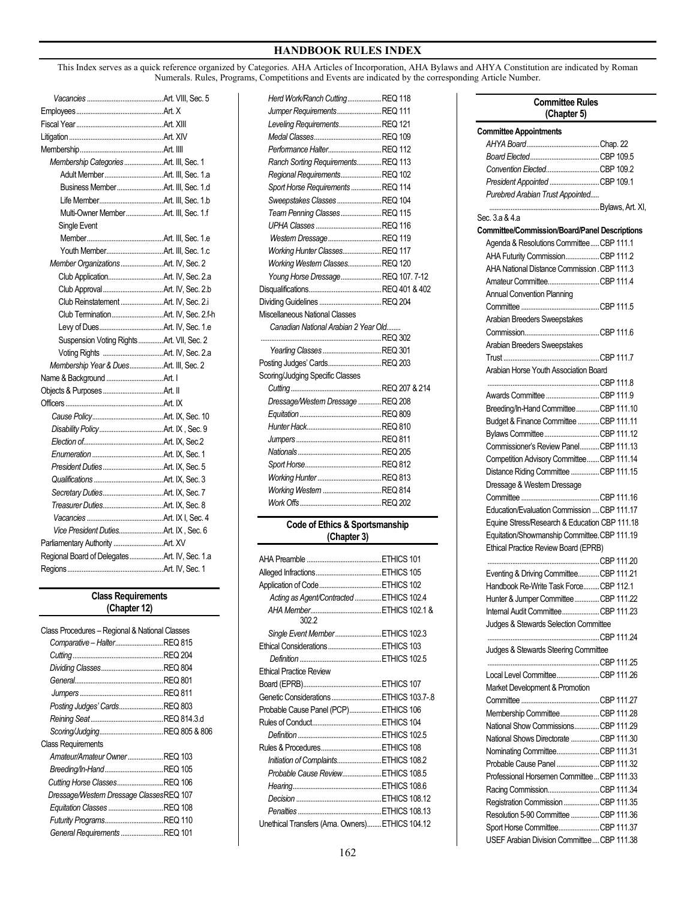This Index serves as a quick reference organized by Categories. AHA Articles of Incorporation, AHA Bylaws and AHYA Constitution are indicated by Roman Numerals. Rules, Programs, Competitions and Events are indicated by the corresponding Article Number.

*Herd Work/Ranch Cutting...................*REQ 118

| Membership CategoriesArt. III, Sec. 1         |  |
|-----------------------------------------------|--|
|                                               |  |
|                                               |  |
|                                               |  |
| Multi-Owner MemberArt. III, Sec. 1.f          |  |
| Single Event                                  |  |
|                                               |  |
|                                               |  |
|                                               |  |
|                                               |  |
|                                               |  |
| Club Reinstatement Art. IV, Sec. 2.i          |  |
|                                               |  |
|                                               |  |
| Suspension Voting Rights Art. VII, Sec. 2     |  |
|                                               |  |
| Membership Year & DuesArt. III, Sec. 2        |  |
|                                               |  |
|                                               |  |
|                                               |  |
|                                               |  |
|                                               |  |
|                                               |  |
|                                               |  |
|                                               |  |
|                                               |  |
|                                               |  |
|                                               |  |
|                                               |  |
| Vice President DutiesArt. IX, Sec. 6          |  |
|                                               |  |
| Regional Board of Delegates Art. IV, Sec. 1.a |  |
|                                               |  |

#### **Class Requirements (Chapter 12)**

| Class Procedures - Regional & National Classes |  |
|------------------------------------------------|--|
| Comparative - HalterREQ 815                    |  |
|                                                |  |
|                                                |  |
|                                                |  |
|                                                |  |
| Posting Judges' CardsREQ 803                   |  |
|                                                |  |
|                                                |  |
| <b>Class Requirements</b>                      |  |
| Amateur/Amateur OwnerREQ 103                   |  |
| Breeding/In-HandREQ 105                        |  |
| Cutting Horse ClassesREQ 106                   |  |
| Dressage/Western Dressage ClassesREQ 107       |  |
| Equitation Classes REQ 108                     |  |
| Futurity ProgramsREQ 110                       |  |
| General Requirements REQ 101                   |  |

| Jumper RequirementsREQ 111                    |  |
|-----------------------------------------------|--|
| Leveling RequirementsREQ 121                  |  |
|                                               |  |
| Performance Halter REQ 112                    |  |
| Ranch Sorting RequirementsREQ 113             |  |
| Regional Requirements REQ 102                 |  |
| Sport Horse Requirements  REQ 114             |  |
| Sweepstakes ClassesREQ 104                    |  |
| Team Penning ClassesREQ 115                   |  |
|                                               |  |
| Western DressageREQ 119                       |  |
| Working Hunter ClassesREQ 117                 |  |
| Working Western ClassesREQ 120                |  |
| Young Horse DressageREQ 107.7-12              |  |
|                                               |  |
|                                               |  |
| Miscellaneous National Classes                |  |
| Canadian National Arabian 2 Year Old          |  |
|                                               |  |
| Yearling Classes  REQ 301                     |  |
| Posting Judges' CardsREQ 203                  |  |
| Scoring/Judging Specific Classes              |  |
|                                               |  |
| Dressage/Westem Dressage REQ 208              |  |
|                                               |  |
|                                               |  |
|                                               |  |
|                                               |  |
|                                               |  |
|                                               |  |
| Working Western REQ 814                       |  |
|                                               |  |
|                                               |  |
| Code of Ethics & Sportsmanship<br>(Chapter 3) |  |
|                                               |  |
|                                               |  |
|                                               |  |
| Application of Code ETHICS 102                |  |
| Acting as Agent/Contracted  ETHICS 102.4      |  |
|                                               |  |
| 302.2                                         |  |
| Single Event Member ETHICS 102.3              |  |
| Ethical Considerations ETHICS 103             |  |
|                                               |  |
| <b>Ethical Practice Review</b>                |  |
|                                               |  |
| Genetic Considerations  ETHICS 103.7-.8       |  |
| Probable Cause Panel (PCP) ETHICS 106         |  |
|                                               |  |
|                                               |  |
| Rules & Procedures ETHICS 108                 |  |
| Initiation of Complaints ETHICS 108.2         |  |
| Probable Cause ReviewETHICS 108.5             |  |
|                                               |  |

## **Committee Rules (Chapter 5) Committee Appointments** *AHYA Board*.........................................Chap. 22 *Board Elected*.......................................CBP 109.5 *Convention Elected*..............................CBP 109.2  *President Appointed* ............................CBP 109.1 *Purebred Arabian Trust Appointed.....* ..Bylaws, Art. XI, Sec. 3.a & 4.a **Committee/Commission/Board/Panel Descriptions** Agenda & Resolutions Committee.....CBP 111.1 AHA Futurity Commission...................CBP 111.2 AHA National Distance Commission.CBP 111.3 Amateur Committee.............................CBP 111.4 Annual Convention Planning Committee ............................................CBP 111.5 Arabian Breeders Sweepstakes Commission..........................................CBP 111.6 Arabian Breeders Sweepstakes Trust ......................................................CBP 111.7 Arabian Horse Youth Association Board ..CBP 111.8 Awards Committee..............................CBP 111.9 Breeding/In-Hand Committee.............CBP 111.10 Budget & Finance Committee ............CBP 111.11 Bylaws Committee...............................CBP 111.12 Commissioner's Review Panel...........CBP 111.13 Competition Advisory Committee.......CBP 111.14 Distance Riding Committee................CBP 111.15 Dressage & Western Dressage Committee ............................................CBP 111.16 Education/Evaluation Commission ....CBP 111.17 Equine Stress/Research & Education CBP 111.18 Equitation/Showmanship Committee.CBP 111.19 Ethical Practice Review Board (EPRB) ...CBP 111.20 Eventing & Driving Committee............CBP 111.21 Handbook Re-Write Task Force.........CBP 112.1 Hunter & Jumper Committee..............CBP 111.22 Internal Audit Committee.....................CBP 111.23 Judges & Stewards Selection Committee ....CBP 111.24 Judges & Stewards Steering Committee ...............................................................CBP 111.25 Local Level Committee........................CBP 111.26 Market Development & Promotion Committee ............................................CBP 111.27 Membership Committee......................CBP 111.28 National Show Commissions..............CBP 111.29 National Shows Directorate ................CBP 111.30 Nominating Committee........................CBP 111.31 Probable Cause Panel ........................CBP 111.32 Professional Horsemen Committee...CBP 111.33 Racing Commission.............................CBP 111.34 Registration Commission....................CBP 111.35 Resolution 5-90 Committee................CBP 111.36 Sport Horse Committee.......................CBP 111.37 USEF Arabian Division Committee....CBP 111.38

 *Decision* ................................................ETHICS 108.12 *Penalties* ...............................................ETHICS 108.13 Unethical Transfers (Ama. Owners)........ETHICS 104.12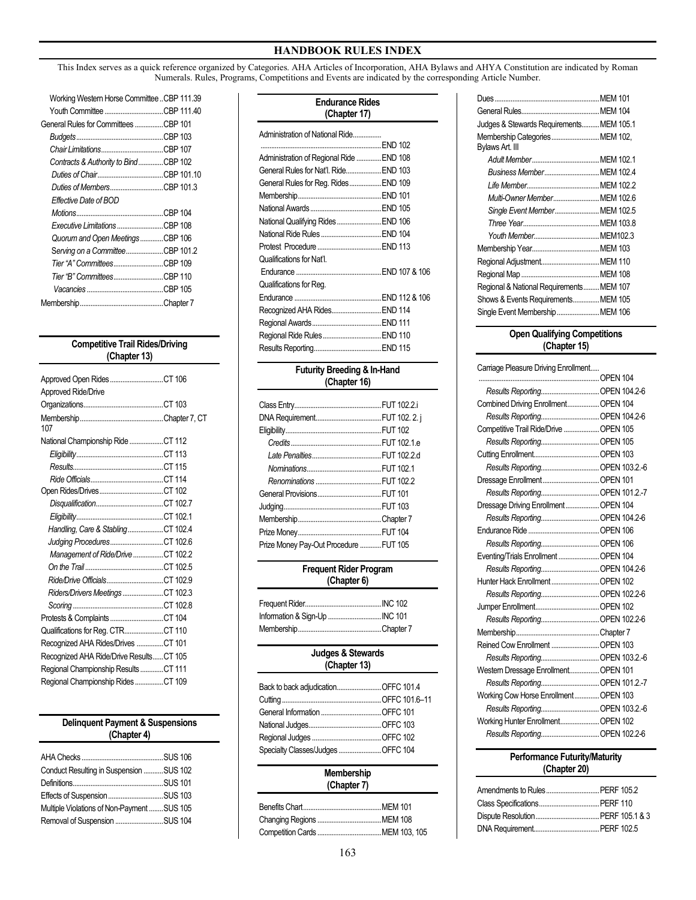This Index serves as a quick reference organized by Categories. AHA Articles of Incorporation, AHA Bylaws and AHYA Constitution are indicated by Roman Numerals. Rules, Programs, Competitions and Events are indicated by the corresponding Article Number.

| Working Westem Horse CommitteeCBP 111.39 |  |
|------------------------------------------|--|
| Youth Committee CBP 111.40               |  |
| General Rules for Committees CBP 101     |  |
|                                          |  |
|                                          |  |
| Contracts & Authority to BindCBP 102     |  |
|                                          |  |
| Duties of MembersCBP 101.3               |  |
| Effective Date of BOD                    |  |
|                                          |  |
| Executive Limitations CBP 108            |  |
| Quorum and Open MeetingsCBP 106          |  |
| Serving on a CommitteeCBP 101.2          |  |
| Tier "A" CommitteesCBP 109               |  |
| Tier "B" CommitteesCBP 110               |  |
|                                          |  |
|                                          |  |
|                                          |  |

## **Competitive Trail Rides/Driving (Chapter 13)**

| Approved Open RidesCT 106               |  |
|-----------------------------------------|--|
| Approved Ride/Drive                     |  |
|                                         |  |
| 107                                     |  |
| National Championship Ride CT 112       |  |
|                                         |  |
|                                         |  |
|                                         |  |
|                                         |  |
|                                         |  |
|                                         |  |
| Handling, Care & StablingCT 102.4       |  |
| Judging ProceduresCT 102.6              |  |
| Management of Ride/Drive CT 102.2       |  |
|                                         |  |
| Ride/Drive OfficialsCT 102.9            |  |
| Riders/Drivers Meetings CT 102.3        |  |
|                                         |  |
|                                         |  |
| Qualifications for Reg. CTRCT 110       |  |
| Recognized AHA Rides/Drives CT 101      |  |
| Recognized AHA Ride/Drive ResultsCT 105 |  |
| Regional Championship ResultsCT 111     |  |
| Regional Championship RidesCT 109       |  |

### **Delinquent Payment & Suspensions (Chapter 4)**

| Conduct Resulting in Suspension SUS 102    |  |
|--------------------------------------------|--|
|                                            |  |
|                                            |  |
| Multiple Violations of Non-Payment SUS 105 |  |
| Removal of Suspension SUS 104              |  |

| <b>Endurance Rides</b><br>(Chapter 17)     |  |  |
|--------------------------------------------|--|--|
| Administration of National Ride<br>END 102 |  |  |
| Administration of Regional Ride  END 108   |  |  |
| General Rules for Nat'l. Ride END 103      |  |  |
| General Rules for Reg. Rides END 109       |  |  |
|                                            |  |  |
|                                            |  |  |
| National Qualifying Rides  END 106         |  |  |
| National Ride Rules  END 104               |  |  |
|                                            |  |  |
| Qualifications for Nat'l.                  |  |  |
|                                            |  |  |
| Qualifications for Reg.                    |  |  |
|                                            |  |  |
| Recognized AHA Rides END 114               |  |  |
|                                            |  |  |
| Regional Ride Rules  END 110               |  |  |
|                                            |  |  |
|                                            |  |  |

### **Futurity Breeding & In-Hand (Chapter 16)**

| Prize Money Pay-Out Procedure FUT 105 |  |
|---------------------------------------|--|

### **Frequent Rider Program (Chapter 6)**

#### **Judges & Stewards (Chapter 13)**

| Specialty Classes/JudgesOFFC 104 |  |
|----------------------------------|--|
|                                  |  |

#### **Membership (Chapter 7)**

| Judges & Stewards Requirements MEM 105.1 |  |
|------------------------------------------|--|
| Membership Categories MEM 102,           |  |
| Bylaws Art. III                          |  |
|                                          |  |
| Business Member MEM 102.4                |  |
|                                          |  |
| Multi-Owner Member MEM 102.6             |  |
| Single Event Member MEM 102.5            |  |
|                                          |  |
|                                          |  |
|                                          |  |
|                                          |  |
|                                          |  |
| Regional & National Requirements MEM 107 |  |
| Shows & Events RequirementsMEM 105       |  |
| Single Event Membership  MEM 106         |  |

## **Open Qualifying Competitions (Chapter 15)**

| Carriage Pleasure Driving Enrollment   |  |
|----------------------------------------|--|
| OPEN 104                               |  |
|                                        |  |
| Combined Driving Enrollment OPEN 104   |  |
|                                        |  |
| Competitive Trail Ride/Drive  OPEN 105 |  |
|                                        |  |
|                                        |  |
|                                        |  |
|                                        |  |
| Results Reporting OPEN 101.2.-7        |  |
| Dressage Driving Enrollment OPEN 104   |  |
| Results Reporting OPEN 104.2-6         |  |
|                                        |  |
|                                        |  |
| Eventing/Trials Enrollment  OPEN 104   |  |
| Results Reporting OPEN 104.2-6         |  |
| Hunter Hack EnrollmentOPEN 102         |  |
|                                        |  |
|                                        |  |
| Results Reporting OPEN 102.2-6         |  |
|                                        |  |
| Reined Cow Enrollment OPEN 103         |  |
| Results Reporting OPEN 103.2.-6        |  |
| Westem Dressage Enrollment OPEN 101    |  |
| Results Reporting OPEN 101.2.-7        |  |
| Working Cow Horse Enrollment OPEN 103  |  |
| Results Reporting OPEN 103.2.-6        |  |
| Working Hunter Enrollment OPEN 102     |  |
|                                        |  |
|                                        |  |

## **Performance Futurity/Maturity (Chapter 20)**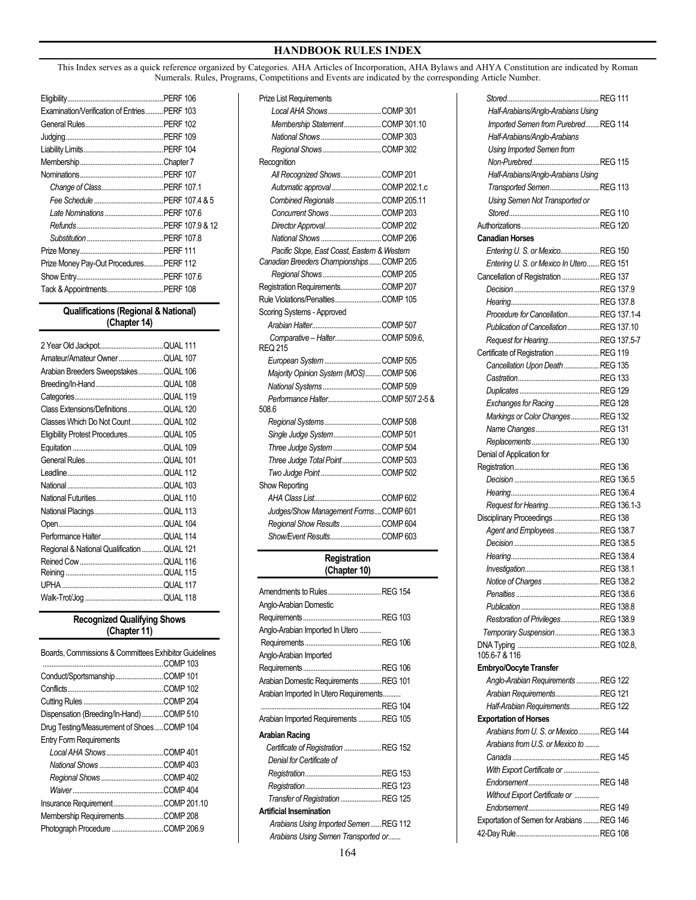This Index serves as a quick reference organized by Categories. AHA Articles of Incorporation, AHA Bylaws and AHYA Constitution are indicated by Roman Numerals. Rules, Programs, Competitions and Events are indicated by the corresponding Article Number.

| Examination/Verification of Entries PERF 103 |  |
|----------------------------------------------|--|
|                                              |  |
|                                              |  |
|                                              |  |
|                                              |  |
|                                              |  |
|                                              |  |
|                                              |  |
|                                              |  |
|                                              |  |
|                                              |  |
|                                              |  |
| Prize Money Pay-Out Procedures PERF 112      |  |
|                                              |  |
|                                              |  |

### **Qualifications (Regional & National) (Chapter 14)**

| Amateur/Amateur Owner QUAL 107             |  |
|--------------------------------------------|--|
| Arabian Breeders SweepstakesQUAL 106       |  |
|                                            |  |
|                                            |  |
| Class Extensions/DefinitionsQUAL 120       |  |
| Classes Which Do Not CountQUAL 102         |  |
| Eligibility Protest ProceduresQUAL 105     |  |
|                                            |  |
|                                            |  |
|                                            |  |
|                                            |  |
|                                            |  |
|                                            |  |
|                                            |  |
|                                            |  |
| Regional & National Qualification QUAL 121 |  |
|                                            |  |
|                                            |  |
|                                            |  |
|                                            |  |

### **Recognized Qualifying Shows (Chapter 11)**

| Boards, Commissions & Committees Exhibitor Guidelines |  |
|-------------------------------------------------------|--|
|                                                       |  |
| Conduct/SportsmanshipCOMP 101                         |  |
|                                                       |  |
|                                                       |  |
| Dispensation (Breeding/In-Hand)COMP 510               |  |
| Drug Testing/Measurement of ShoesCOMP 104             |  |
| <b>Entry Form Requirements</b>                        |  |
| Local AHA ShowsCOMP 401                               |  |
|                                                       |  |
|                                                       |  |
|                                                       |  |
| Insurance RequirementCOMP 201.10                      |  |
|                                                       |  |
|                                                       |  |
|                                                       |  |

| <b>Prize List Requirements</b>                     |  |
|----------------------------------------------------|--|
| Local AHA ShowsCOMP 301                            |  |
| Membership StatementCOMP 301.10                    |  |
|                                                    |  |
|                                                    |  |
| Recognition                                        |  |
| All Recognized ShowsCOMP 201                       |  |
| Automatic approvalCOMP 202.1.c                     |  |
| Combined Regionals COMP 205.11                     |  |
|                                                    |  |
| Director ApprovalCOMP 202                          |  |
|                                                    |  |
| Pacific Slope, East Coast, Eastern & Western       |  |
| Canadian Breeders ChampionshipsCOMP 205            |  |
| Regional ShowsCOMP 205                             |  |
| Registration RequirementsCOMP 207                  |  |
| Rule Violations/PenaltiesCOMP 105                  |  |
| Scoring Systems - Approved                         |  |
|                                                    |  |
| Comparative - Halter COMP 509.6,<br><b>REQ 215</b> |  |
| European System COMP 505                           |  |
| Majority Opinion System (MOS)COMP 506              |  |
|                                                    |  |
| Performance HalterCOMP 507.2-5 &                   |  |
| 508.6                                              |  |
| Regional SystemsCOMP 508                           |  |
| Single Judge System COMP 501                       |  |
| Three Judge System COMP 504                        |  |
| Three Judge Total PointCOMP 503                    |  |
|                                                    |  |
| Show Reporting                                     |  |
|                                                    |  |
| Judges/Show Management FormsCOMP 601               |  |
| Regional Show ResultsCOMP 604                      |  |
| Show/Event ResultsCOMP 603                         |  |

## **Registration (Chapter 10)**

| Amendments to RulesREG 154             |  |
|----------------------------------------|--|
| Anglo-Arabian Domestic                 |  |
|                                        |  |
| Anglo-Arabian Imported In Utero        |  |
|                                        |  |
| Anglo-Arabian Imported                 |  |
|                                        |  |
| Arabian Domestic Requirements REG 101  |  |
| Arabian Imported In Utero Requirements |  |
|                                        |  |
| Arabian Imported Requirements REG 105  |  |
| Arabian Racing                         |  |
| Certificate of Registration  REG 152   |  |
| Denial for Certificate of              |  |
|                                        |  |
|                                        |  |
| Transfer of Registration REG 125       |  |
| <b>Artificial Insemination</b>         |  |
| Arabians Using Imported SemenREG 112   |  |
| Arabians Using Semen Transported or    |  |
|                                        |  |

 *Stored*....................................................REG 111 *Half-Arabians/Anglo-Arabians Using Imported Semen fromPurebred*........REG 114 *Half-Arabians/Anglo-Arabians Using Imported Semen from Non-Purebred*......................................REG 115  *Half-Arabians/Anglo-Arabians Using Transported Semen*............................REG 113  *Using Semen Not Transported or Stored*...................................................REG 110 Authorizations............................................REG 120 **Canadian Horses** *Entering U. S. or Mexico*......................REG 150 *Entering U. S. orMexico In Utero*.......REG 151 Cancellation of Registration .....................REG 137 *Decision* ................................................REG 137.9 *Hearing*..................................................REG 137.8 *Procedure for Cancellation*..................REG 137.1-4 *Publication of Cancellation*..................REG 137.10 *Request for Hearing*.............................REG 137.5-7 Certificate of Registration .........................REG 119 *Cancellation Upon Death*....................REG 135 *Castration*..............................................REG 133 *Duplicates*.............................................REG 129 *Exchanges for Racing*.........................REG 128 *Markings or Color Changes*................REG 132 *Name Changes*....................................REG 131  *Replacements* ......................................REG 130 Denial of Application for Registration................................................REG 136 *Decision* ................................................REG 136.5 *Hearing*..................................................REG 136.4 *Request for Hearing*.............................REG 136.1-3 Disciplinary Proceedings..........................REG 138 *Agent and Employees*.........................REG 138.7 *Decision* ................................................REG 138.5 *Hearing*..................................................REG 138.4 *Investigation*..........................................REG 138.1 *Notice of Charges* ................................REG 138.2 *Penalties* ...............................................REG 138.6 *Publication* ............................................REG 138.8 *Restoration of Privileges*......................REG 138.9 *Temporary Suspension*.........................REG 138.3 DNA Typing ..............................................REG 102.8, 105.6-7 & 116 **Embryo/Oocyte Transfer** *Anglo-Arabian Requirements* .............REG 122 *Arabian Requirements*.........................REG 121 *Half-Arabian Requirements*.................REG 122 **Exportation of Horses** *Arabians from U. S. or Mexico*............REG 144 *Arabians from U.S. or Mexico to ........ Canada* .................................................REG 145 *With Export Certificate or .................... Endorsement*........................................REG 148 *Without Export Certificate or .............. Endorsement*........................................REG 149 Exportation of Semen for Arabians .........REG 146 42-Day Rule...............................................REG 108